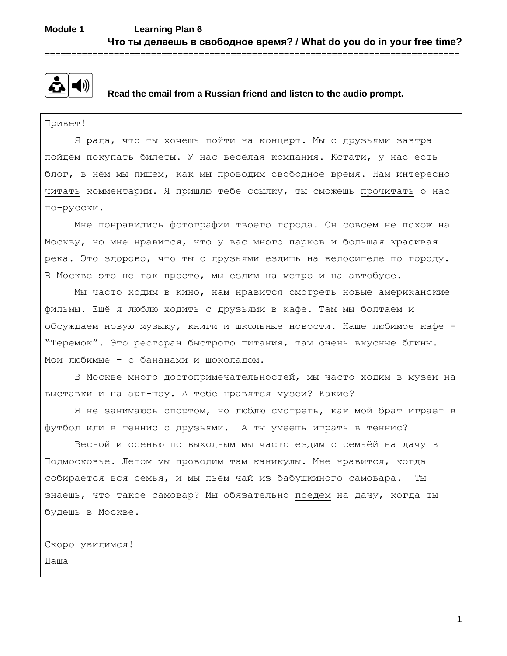# **Module 1 Learning Plan 6 Что ты делаешь в свободное время? / What do you do in your free time?**

#### **Read the email from a Russian friend and listen to the audio prompt.**

==============================================================================

Привет!

Я рада, что ты хочешь пойти на концерт. Мы с друзьями завтра пойдём покупать билеты. У нас весёлая компания. Кстати, у нас есть блог, в нём мы пишем, как мы проводим свободное время. Нам интересно читать комментарии. Я пришлю тебе ссылку, ты сможешь прочитать о нас по-русски.

Мне понравились фотографии твоего города. Он совсем не похож на Москву, но мне нравится, что у вас много парков и большая красивая река. Это здорово, что ты с друзьями ездишь на велосипеде по городу. В Москве это не так просто, мы ездим на метро и на автобусе.

Мы часто ходим в кино, нам нравится смотреть новые американские фильмы. Ещё я люблю ходить с друзьями в кафе. Там мы болтаем и обсуждаем новую музыку, книги и школьные новости. Наше любимое кафе - "Теремок". Это ресторан быстрого питания, там очень вкусные блины. Мои любимые - с бананами и шоколадом.

В Москве много достопримечательностей, мы часто ходим в музеи на выставки и на арт-шоу. А тебе нравятся музеи? Какие?

Я не занимаюсь спортом, но люблю смотреть, как мой брат играет в футбол или в теннис с друзьями. А ты умеешь играть в теннис?

Весной и осенью по выходным мы часто ездим с семьёй на дачу в Подмосковье. Летом мы проводим там каникулы. Мне нравится, когда собирается вся семья, и мы пьём чай из бабушкиного самовара. Ты знаешь, что такое самовар? Мы обязательно поедем на дачу, когда ты будешь в Москве.

Скоро увидимся! Даша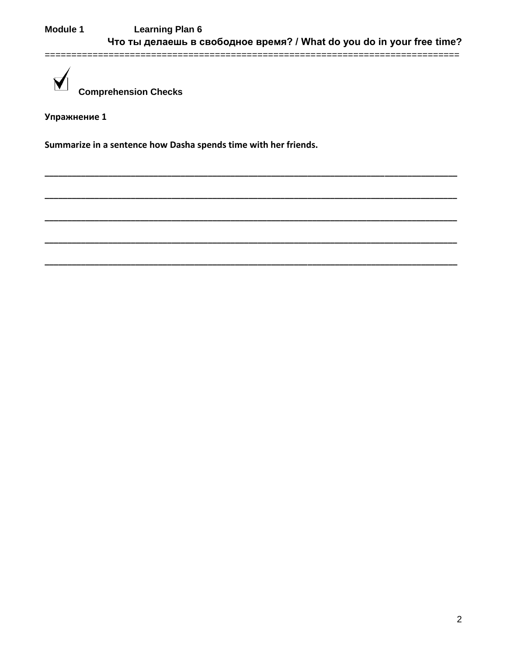**Comprehension Checks** 

Упражнение 1

Summarize in a sentence how Dasha spends time with her friends.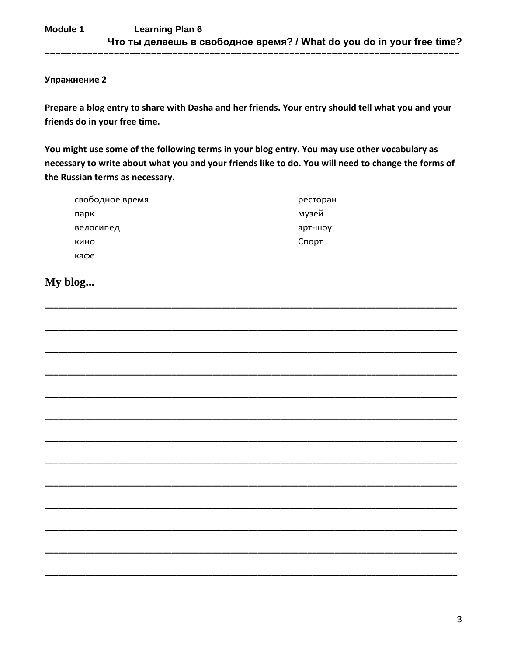# Упражнение 2

Prepare a blog entry to share with Dasha and her friends. Your entry should tell what you and your friends do in your free time.

You might use some of the following terms in your blog entry. You may use other vocabulary as necessary to write about what you and your friends like to do. You will need to change the forms of the Russian terms as necessary.

| свободное время | ресторан |
|-----------------|----------|
| парк            | музей    |
| велосипед       | арт-шоу  |
| кино            | Спорт    |
| кафе            |          |

# My blog...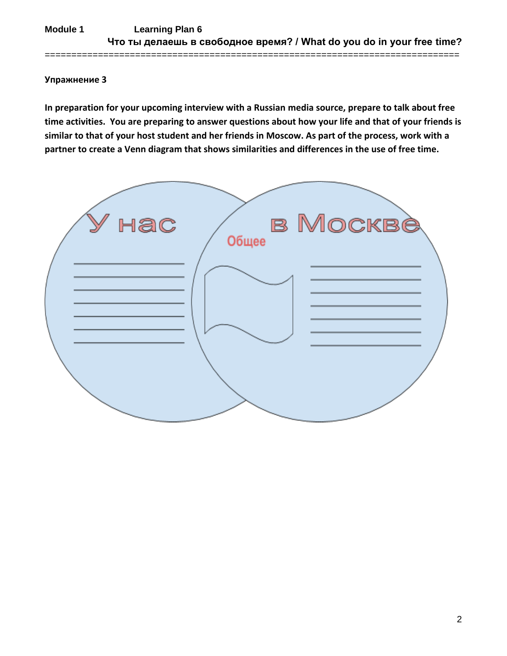# **Упражнение 3**

**In preparation for your upcoming interview with a Russian media source, prepare to talk about free time activities. You are preparing to answer questions about how your life and that of your friends is similar to that of your host student and her friends in Moscow. As part of the process, work with a partner to create a Venn diagram that shows similarities and differences in the use of free time.**

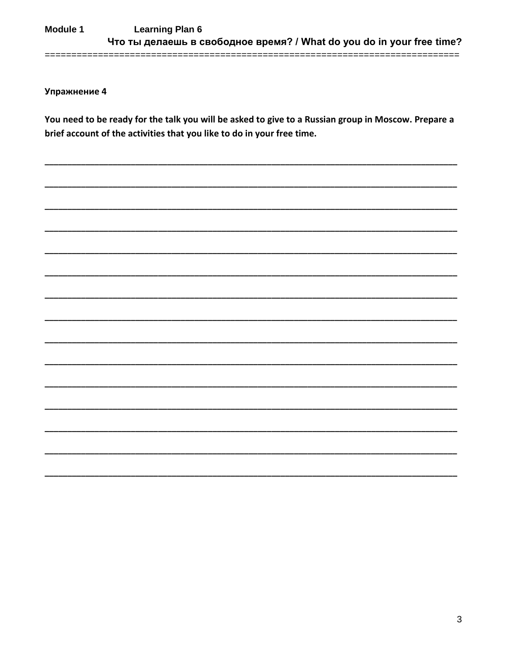# Упражнение 4

You need to be ready for the talk you will be asked to give to a Russian group in Moscow. Prepare a brief account of the activities that you like to do in your free time.

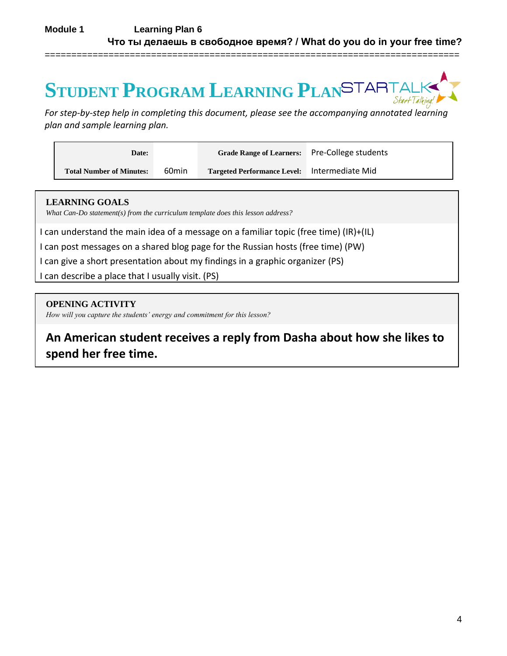==============================================================================

**STUDENT PROGRAM LEARNING PLAN**

*For step-by-step help in completing this document, please see the accompanying annotated learning plan and sample learning plan.*

| Date:                           |                   | Grade Range of Learners: Pre-College students |  |
|---------------------------------|-------------------|-----------------------------------------------|--|
| <b>Total Number of Minutes:</b> | 60 <sub>min</sub> | Targeted Performance Level: Intermediate Mid  |  |

## **LEARNING GOALS**

*What Can-Do statement(s) from the curriculum template does this lesson address?*

I can understand the main idea of a message on a familiar topic (free time) (IR)+(IL)

I can post messages on a shared blog page for the Russian hosts (free time) (PW)

I can give a short presentation about my findings in a graphic organizer (PS)

I can describe a place that I usually visit. (PS)

# **OPENING ACTIVITY**

*How will you capture the students' energy and commitment for this lesson?*

**An American student receives a reply from Dasha about how she likes to spend her free time.**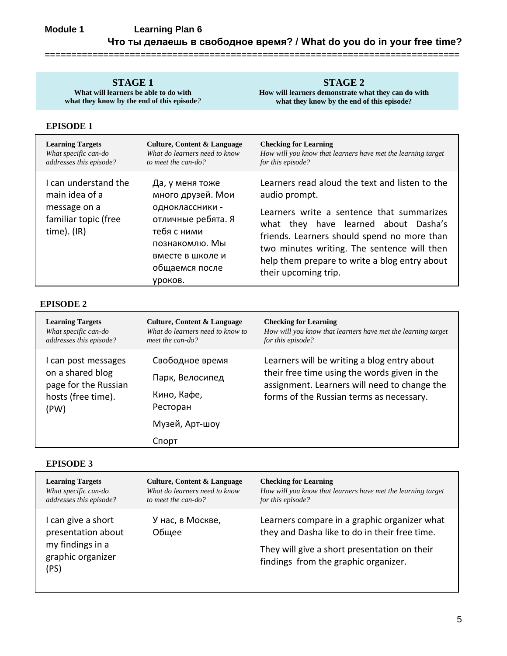==============================================================================

**What will learners be able to do with what they know by the end of this episode***?*

# **STAGE 2**

**How will learners demonstrate what they can do with what they know by the end of this episode?**

### **EPISODE 1**

| <b>Learning Targets</b>                                                                         | <b>Culture, Content &amp; Language</b>                                                                                                                          | <b>Checking for Learning</b>                                                                                                                                                                                                                                                                                                |
|-------------------------------------------------------------------------------------------------|-----------------------------------------------------------------------------------------------------------------------------------------------------------------|-----------------------------------------------------------------------------------------------------------------------------------------------------------------------------------------------------------------------------------------------------------------------------------------------------------------------------|
| What specific can-do                                                                            | What do learners need to know                                                                                                                                   | How will you know that learners have met the learning target                                                                                                                                                                                                                                                                |
| addresses this episode?                                                                         | to meet the can-do?                                                                                                                                             | for this episode?                                                                                                                                                                                                                                                                                                           |
| Lcan understand the<br>main idea of a<br>message on a<br>familiar topic (free<br>$time)$ . (IR) | Да, у меня тоже<br>много друзей. Мои<br>одноклассники -<br>отличные ребята. Я<br>тебя с ними<br>познакомлю. Мы<br>вместе в школе и<br>общаемся после<br>уроков. | Learners read aloud the text and listen to the<br>audio prompt.<br>Learners write a sentence that summarizes<br>what they have learned about Dasha's<br>friends. Learners should spend no more than<br>two minutes writing. The sentence will then<br>help them prepare to write a blog entry about<br>their upcoming trip. |

### **EPISODE 2**

| <b>Learning Targets</b><br>What specific can-do<br>addresses this episode?                    | Culture, Content & Language<br>What do learners need to know to<br>meet the can-do? | <b>Checking for Learning</b><br>How will you know that learners have met the learning target<br>for this episode?                                                                       |
|-----------------------------------------------------------------------------------------------|-------------------------------------------------------------------------------------|-----------------------------------------------------------------------------------------------------------------------------------------------------------------------------------------|
| I can post messages<br>on a shared blog<br>page for the Russian<br>hosts (free time).<br>(PW) | Свободное время<br>Парк, Велосипед<br>Кино, Кафе,<br>Ресторан                       | Learners will be writing a blog entry about<br>their free time using the words given in the<br>assignment. Learners will need to change the<br>forms of the Russian terms as necessary. |
|                                                                                               | Музей, Арт-шоу                                                                      |                                                                                                                                                                                         |
|                                                                                               | Спорт                                                                               |                                                                                                                                                                                         |

#### **EPISODE 3**

| <b>Learning Targets</b>                                                                   | Culture, Content & Language   | <b>Checking for Learning</b>                                                                                                                                                          |
|-------------------------------------------------------------------------------------------|-------------------------------|---------------------------------------------------------------------------------------------------------------------------------------------------------------------------------------|
| What specific can-do                                                                      | What do learners need to know | How will you know that learners have met the learning target                                                                                                                          |
| addresses this episode?                                                                   | to meet the can-do?           | for this episode?                                                                                                                                                                     |
| I can give a short<br>presentation about<br>my findings in a<br>graphic organizer<br>(PS) | У нас, в Москве,<br>Общее     | Learners compare in a graphic organizer what<br>they and Dasha like to do in their free time.<br>They will give a short presentation on their<br>findings from the graphic organizer. |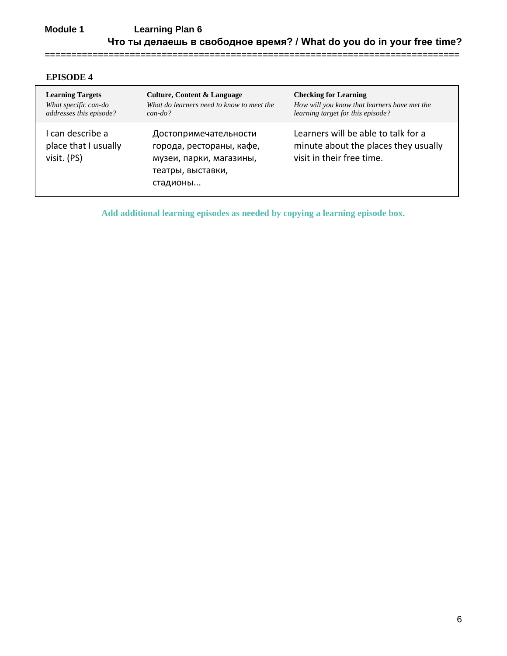# **Module 1 Learning Plan 6 Что ты делаешь в свободное время? / What do you do in your free time?**

# **EPISODE 4**

| <b>Learning Targets</b>                                 | Culture, Content & Language                                                                                   | <b>Checking for Learning</b>                                                                             |
|---------------------------------------------------------|---------------------------------------------------------------------------------------------------------------|----------------------------------------------------------------------------------------------------------|
| What specific can-do                                    | What do learners need to know to meet the                                                                     | How will you know that learners have met the                                                             |
| addresses this episode?                                 | $can$ -do?                                                                                                    | learning target for this episode?                                                                        |
| I can describe a<br>place that I usually<br>visit. (PS) | Достопримечательности<br>города, рестораны, кафе,<br>музеи, парки, магазины,<br>театры, выставки,<br>стадионы | Learners will be able to talk for a<br>minute about the places they usually<br>visit in their free time. |

==============================================================================

**Add additional learning episodes as needed by copying a learning episode box.**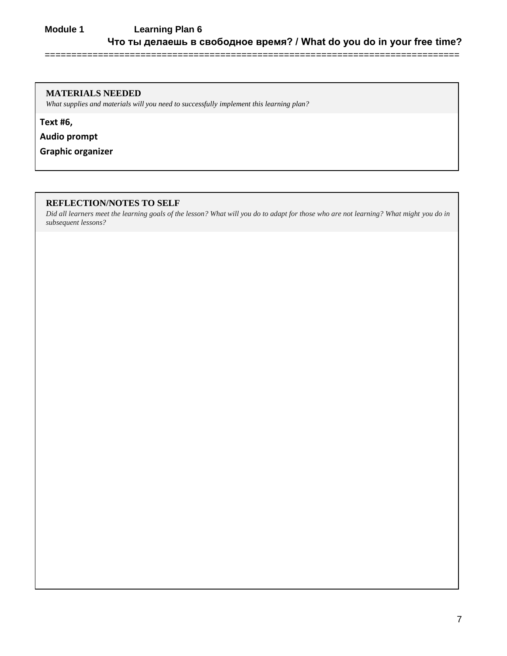# **Module 1 Learning Plan 6 Что ты делаешь в свободное время? / What do you do in your free time?**

==============================================================================

#### **MATERIALS NEEDED**

*What supplies and materials will you need to successfully implement this learning plan?*

**Text #6,**

**Аudio prompt**

**Graphic organizer**

#### **REFLECTION/NOTES TO SELF**

*Did all learners meet the learning goals of the lesson? What will you do to adapt for those who are not learning? What might you do in subsequent lessons?*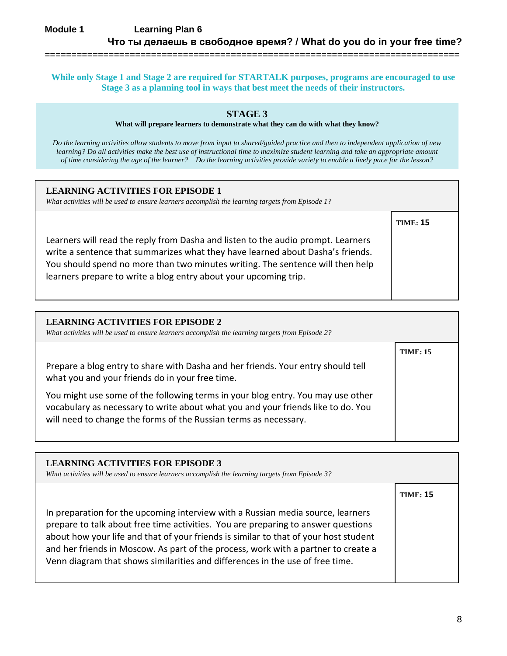**While only Stage 1 and Stage 2 are required for STARTALK purposes, programs are encouraged to use Stage 3 as a planning tool in ways that best meet the needs of their instructors.**

==============================================================================

## **STAGE 3**

**What will prepare learners to demonstrate what they can do with what they know?**

*Do the learning activities allow students to move from input to shared/guided practice and then to independent application of new learning? Do all activities make the best use of instructional time to maximize student learning and take an appropriate amount of time considering the age of the learner? Do the learning activities provide variety to enable a lively pace for the lesson?*

| <b>LEARNING ACTIVITIES FOR EPISODE 1</b><br>What activities will be used to ensure learners accomplish the learning targets from Episode 1?                                                                                                                                                                              |                 |
|--------------------------------------------------------------------------------------------------------------------------------------------------------------------------------------------------------------------------------------------------------------------------------------------------------------------------|-----------------|
| Learners will read the reply from Dasha and listen to the audio prompt. Learners<br>write a sentence that summarizes what they have learned about Dasha's friends.<br>You should spend no more than two minutes writing. The sentence will then help<br>learners prepare to write a blog entry about your upcoming trip. | <b>TIME: 15</b> |

| <b>LEARNING ACTIVITIES FOR EPISODE 2</b><br>What activities will be used to ensure learners accomplish the learning targets from Episode 2?                                                                                             |                 |
|-----------------------------------------------------------------------------------------------------------------------------------------------------------------------------------------------------------------------------------------|-----------------|
|                                                                                                                                                                                                                                         | <b>TIME: 15</b> |
| Prepare a blog entry to share with Dasha and her friends. Your entry should tell<br>what you and your friends do in your free time.                                                                                                     |                 |
| You might use some of the following terms in your blog entry. You may use other<br>vocabulary as necessary to write about what you and your friends like to do. You<br>will need to change the forms of the Russian terms as necessary. |                 |

| <b>LEARNING ACTIVITIES FOR EPISODE 3</b>                                                                                                                                                                                                                                                                                                                                                                                                               |  |
|--------------------------------------------------------------------------------------------------------------------------------------------------------------------------------------------------------------------------------------------------------------------------------------------------------------------------------------------------------------------------------------------------------------------------------------------------------|--|
| What activities will be used to ensure learners accomplish the learning targets from Episode 3?                                                                                                                                                                                                                                                                                                                                                        |  |
| <b>TIME: 15</b><br>In preparation for the upcoming interview with a Russian media source, learners<br>prepare to talk about free time activities. You are preparing to answer questions<br>about how your life and that of your friends is similar to that of your host student<br>and her friends in Moscow. As part of the process, work with a partner to create a<br>Venn diagram that shows similarities and differences in the use of free time. |  |